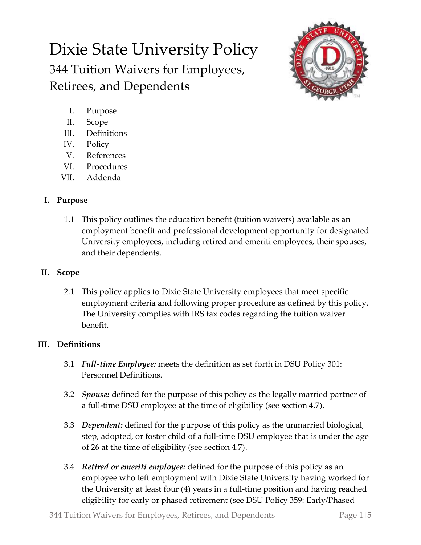# Dixie State University Policy 344 Tuition Waivers for Employees, Retirees, and Dependents



- I. Purpose
- II. Scope
- III. Definitions
- IV. Policy
- V. References
- VI. Procedures
- VII. Addenda

# **I. Purpose**

1.1 This policy outlines the education benefit (tuition waivers) available as an employment benefit and professional development opportunity for designated University employees, including retired and emeriti employees, their spouses, and their dependents.

## **II. Scope**

2.1 This policy applies to Dixie State University employees that meet specific employment criteria and following proper procedure as defined by this policy. The University complies with IRS tax codes regarding the tuition waiver benefit.

# **III. Definitions**

- 3.1 *Full-time Employee:* meets the definition as set forth in DSU Policy 301: Personnel Definitions.
- 3.2 *Spouse:* defined for the purpose of this policy as the legally married partner of a full-time DSU employee at the time of eligibility (see section 4.7).
- 3.3 *Dependent:* defined for the purpose of this policy as the unmarried biological, step, adopted, or foster child of a full-time DSU employee that is under the age of 26 at the time of eligibility (see section 4.7).
- 3.4 *Retired or emeriti employee:* defined for the purpose of this policy as an employee who left employment with Dixie State University having worked for the University at least four (4) years in a full-time position and having reached eligibility for early or phased retirement (see DSU Policy 359: Early/Phased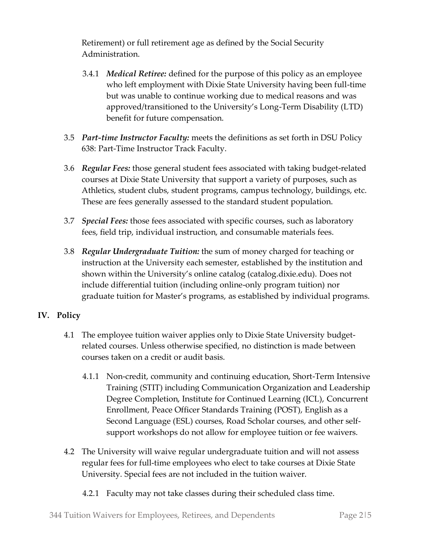Retirement) or full retirement age as defined by the Social Security Administration.

- 3.4.1 *Medical Retiree:* defined for the purpose of this policy as an employee who left employment with Dixie State University having been full-time but was unable to continue working due to medical reasons and was approved/transitioned to the University's Long-Term Disability (LTD) benefit for future compensation.
- 3.5 *Part-time Instructor Faculty:* meets the definitions as set forth in DSU Policy 638: Part-Time Instructor Track Faculty.
- 3.6 *Regular Fees:* those general student fees associated with taking budget-related courses at Dixie State University that support a variety of purposes, such as Athletics, student clubs, student programs, campus technology, buildings, etc. These are fees generally assessed to the standard student population.
- 3.7 *Special Fees:* those fees associated with specific courses, such as laboratory fees, field trip, individual instruction, and consumable materials fees.
- 3.8 *Regular Undergraduate Tuition:* the sum of money charged for teaching or instruction at the University each semester, established by the institution and shown within the University's online catalog (catalog.dixie.edu). Does not include differential tuition (including online-only program tuition) nor graduate tuition for Master's programs, as established by individual programs.

## **IV. Policy**

- 4.1 The employee tuition waiver applies only to Dixie State University budgetrelated courses. Unless otherwise specified, no distinction is made between courses taken on a credit or audit basis.
	- 4.1.1 Non-credit, community and continuing education, Short-Term Intensive Training (STIT) including Communication Organization and Leadership Degree Completion, Institute for Continued Learning (ICL), Concurrent Enrollment, Peace Officer Standards Training (POST), English as a Second Language (ESL) courses, Road Scholar courses, and other selfsupport workshops do not allow for employee tuition or fee waivers.
- 4.2 The University will waive regular undergraduate tuition and will not assess regular fees for full-time employees who elect to take courses at Dixie State University. Special fees are not included in the tuition waiver.
	- 4.2.1 Faculty may not take classes during their scheduled class time.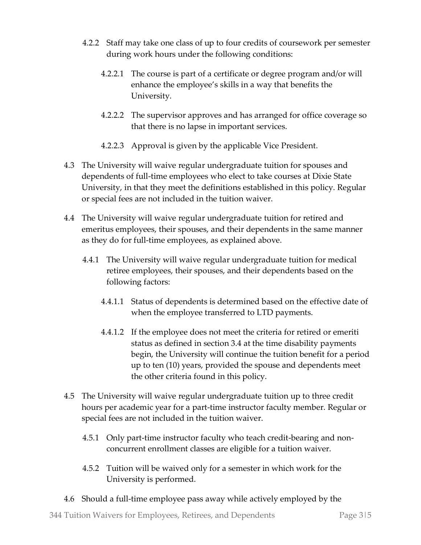- 4.2.2 Staff may take one class of up to four credits of coursework per semester during work hours under the following conditions:
	- 4.2.2.1 The course is part of a certificate or degree program and/or will enhance the employee's skills in a way that benefits the University.
	- 4.2.2.2 The supervisor approves and has arranged for office coverage so that there is no lapse in important services.
	- 4.2.2.3 Approval is given by the applicable Vice President.
- 4.3 The University will waive regular undergraduate tuition for spouses and dependents of full-time employees who elect to take courses at Dixie State University, in that they meet the definitions established in this policy. Regular or special fees are not included in the tuition waiver.
- 4.4 The University will waive regular undergraduate tuition for retired and emeritus employees, their spouses, and their dependents in the same manner as they do for full-time employees, as explained above.
	- 4.4.1 The University will waive regular undergraduate tuition for medical retiree employees, their spouses, and their dependents based on the following factors:
		- 4.4.1.1 Status of dependents is determined based on the effective date of when the employee transferred to LTD payments.
		- 4.4.1.2 If the employee does not meet the criteria for retired or emeriti status as defined in section 3.4 at the time disability payments begin, the University will continue the tuition benefit for a period up to ten (10) years, provided the spouse and dependents meet the other criteria found in this policy.
- 4.5 The University will waive regular undergraduate tuition up to three credit hours per academic year for a part-time instructor faculty member. Regular or special fees are not included in the tuition waiver.
	- 4.5.1 Only part-time instructor faculty who teach credit-bearing and nonconcurrent enrollment classes are eligible for a tuition waiver.
	- 4.5.2 Tuition will be waived only for a semester in which work for the University is performed.
- 4.6 Should a full-time employee pass away while actively employed by the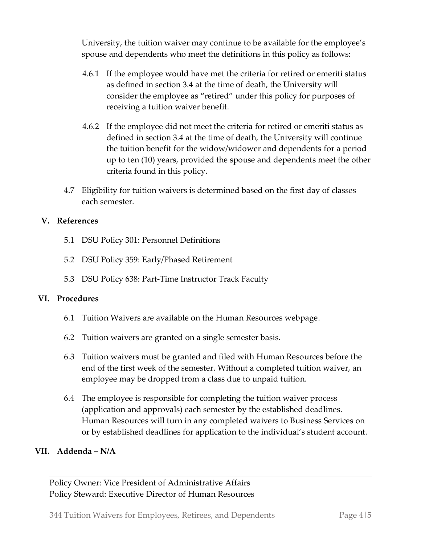University, the tuition waiver may continue to be available for the employee's spouse and dependents who meet the definitions in this policy as follows:

- 4.6.1 If the employee would have met the criteria for retired or emeriti status as defined in section 3.4 at the time of death, the University will consider the employee as "retired" under this policy for purposes of receiving a tuition waiver benefit.
- 4.6.2 If the employee did not meet the criteria for retired or emeriti status as defined in section 3.4 at the time of death, the University will continue the tuition benefit for the widow/widower and dependents for a period up to ten (10) years, provided the spouse and dependents meet the other criteria found in this policy.
- 4.7 Eligibility for tuition waivers is determined based on the first day of classes each semester.

## **V. References**

- 5.1 DSU Policy 301: Personnel Definitions
- 5.2 DSU Policy 359: Early/Phased Retirement
- 5.3 DSU Policy 638: Part-Time Instructor Track Faculty

## **VI. Procedures**

- 6.1 Tuition Waivers are available on the Human Resources webpage.
- 6.2 Tuition waivers are granted on a single semester basis.
- 6.3 Tuition waivers must be granted and filed with Human Resources before the end of the first week of the semester. Without a completed tuition waiver, an employee may be dropped from a class due to unpaid tuition.
- 6.4 The employee is responsible for completing the tuition waiver process (application and approvals) each semester by the established deadlines. Human Resources will turn in any completed waivers to Business Services on or by established deadlines for application to the individual's student account.

## **VII. Addenda – N/A**

Policy Owner: Vice President of Administrative Affairs Policy Steward: Executive Director of Human Resources